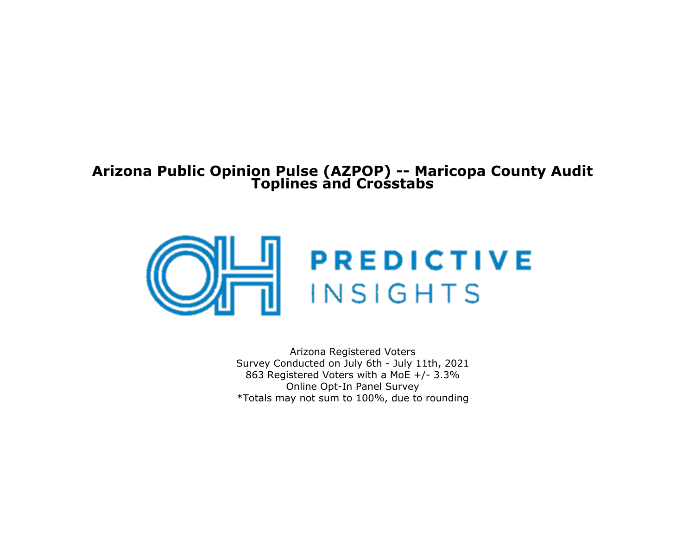## **Arizona Public Opinion Pulse (AZPOP) -- Maricopa County AuditToplines and Crosstabs**



Arizona Registered Voters Survey Conducted on July 6th - July 11th, 2021 863 Registered Voters with a MoE +/- 3.3% Online Opt-In Panel Survey\*Totals may not sum to 100%, due to rounding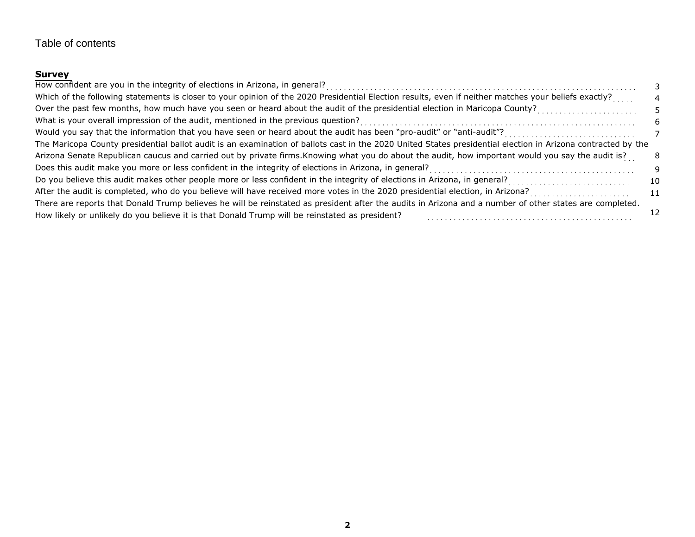## Table of contents

## **Survey**

| Which of the following statements is closer to your opinion of the 2020 Presidential Election results, even if neither matches your beliefs exactly?         |    |
|--------------------------------------------------------------------------------------------------------------------------------------------------------------|----|
| Over the past few months, how much have you seen or heard about the audit of the presidential election in Maricopa County?                                   |    |
|                                                                                                                                                              | h  |
| Would you say that the information that you have seen or heard about the audit has been "pro-audit" or "anti-audit"?<br>                                     |    |
| The Maricopa County presidential ballot audit is an examination of ballots cast in the 2020 United States presidential election in Arizona contracted by the |    |
| Arizona Senate Republican caucus and carried out by private firms. Knowing what you do about the audit, how important would you say the audit is?            | 8  |
|                                                                                                                                                              | 9  |
|                                                                                                                                                              | 10 |
|                                                                                                                                                              | 11 |
| There are reports that Donald Trump believes he will be reinstated as president after the audits in Arizona and a number of other states are completed.      |    |
| How likely or unlikely do you believe it is that Donald Trump will be reinstated as president?                                                               |    |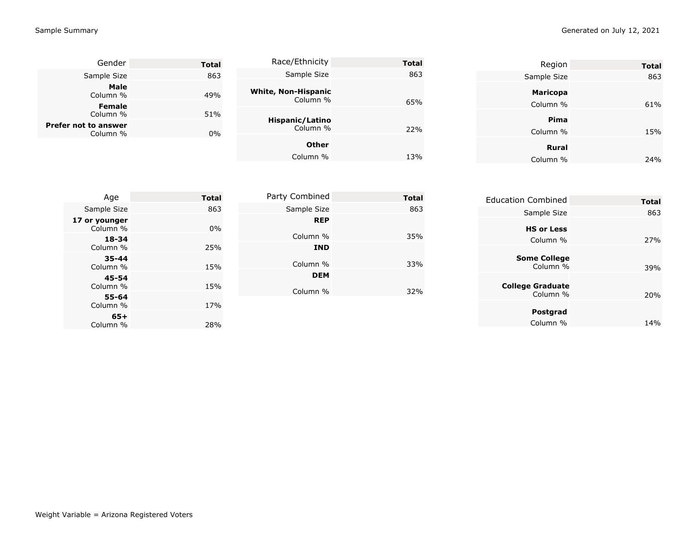| Gender                      | <b>Total</b> | Race/Ethnicity                         | <b>Total</b> | Region           | <b>Total</b> |
|-----------------------------|--------------|----------------------------------------|--------------|------------------|--------------|
| Sample Size                 | 863          | Sample Size                            | 863          | Sample Size      | 863          |
| Male<br>Column %            | 49%          | <b>White, Non-Hispanic</b><br>Column % |              | <b>Maricopa</b>  |              |
| <b>Female</b><br>Column %   | 51%          |                                        | 65%          | Column %         | 61%          |
| <b>Prefer not to answer</b> |              | Hispanic/Latino<br>Column %            | 22%          | Pima<br>Column % | 15%          |
| Column %                    | 0%           | <b>Other</b>                           |              | Rural            |              |
|                             |              | Column %                               | 13%          | Column %         | 24%          |

| Age                       | <b>Total</b> | Party Combined         | <b>Total</b> | <b>Education Combined</b>       | <b>Total</b> |
|---------------------------|--------------|------------------------|--------------|---------------------------------|--------------|
| Sample Size               | 863          | Sample Size            | 863          | Sample Size                     | 863          |
| 17 or younger<br>Column % | $0\%$        | <b>REP</b>             |              | <b>HS or Less</b>               |              |
| $18 - 34$                 |              | Column %               | 35%          | Column %                        | 27%          |
| Column %                  | 25%          | <b>IND</b>             |              |                                 |              |
| $35 - 44$<br>Column %     | 15%          | Column %               | 33%          | <b>Some College</b><br>Column % | 39%          |
| 45-54<br>Column %         | 15%          | <b>DEM</b><br>Column % | 32%          | <b>College Graduate</b>         |              |
| 55-64<br>Column %         | 17%          |                        |              | Column %                        | 20%          |
| $65+$<br>Column %         | 28%          |                        |              | Postgrad<br>Column %            | 14%          |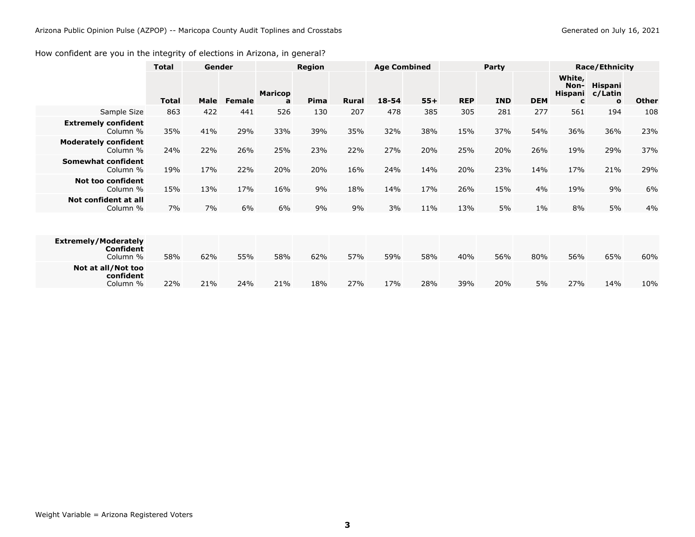### <span id="page-3-0"></span>How confident are you in the integrity of elections in Arizona, in general?

|                                                             | <b>Total</b> | Gender |               | <b>Region</b>       |      | <b>Age Combined</b> |       | Party |            |            | <b>Race/Ethnicity</b> |                                       |                                    |              |
|-------------------------------------------------------------|--------------|--------|---------------|---------------------|------|---------------------|-------|-------|------------|------------|-----------------------|---------------------------------------|------------------------------------|--------------|
|                                                             | <b>Total</b> | Male   | <b>Female</b> | <b>Maricop</b><br>a | Pima | <b>Rural</b>        | 18-54 | $55+$ | <b>REP</b> | <b>IND</b> | <b>DEM</b>            | White,<br>Non-<br><b>Hispani</b><br>C | Hispani<br>c/Latin<br>$\mathbf{o}$ | <b>Other</b> |
| Sample Size                                                 | 863          | 422    | 441           | 526                 | 130  | 207                 | 478   | 385   | 305        | 281        | 277                   | 561                                   | 194                                | 108          |
| <b>Extremely confident</b><br>Column %                      | 35%          | 41%    | 29%           | 33%                 | 39%  | 35%                 | 32%   | 38%   | 15%        | 37%        | 54%                   | 36%                                   | 36%                                | 23%          |
| <b>Moderately confident</b><br>Column %                     | 24%          | 22%    | 26%           | 25%                 | 23%  | 22%                 | 27%   | 20%   | 25%        | 20%        | 26%                   | 19%                                   | 29%                                | 37%          |
| Somewhat confident<br>Column %                              | 19%          | 17%    | 22%           | 20%                 | 20%  | 16%                 | 24%   | 14%   | 20%        | 23%        | 14%                   | 17%                                   | 21%                                | 29%          |
| <b>Not too confident</b><br>Column %                        | 15%          | 13%    | 17%           | 16%                 | 9%   | 18%                 | 14%   | 17%   | 26%        | 15%        | 4%                    | 19%                                   | 9%                                 | 6%           |
| Not confident at all<br>Column %                            | 7%           | 7%     | 6%            | 6%                  | 9%   | 9%                  | 3%    | 11%   | 13%        | 5%         | $1\%$                 | 8%                                    | 5%                                 | 4%           |
|                                                             |              |        |               |                     |      |                     |       |       |            |            |                       |                                       |                                    |              |
| <b>Extremely/Moderately</b><br><b>Confident</b><br>Column % | 58%          | 62%    | 55%           | 58%                 | 62%  | 57%                 | 59%   | 58%   | 40%        | 56%        | 80%                   | 56%                                   | 65%                                | 60%          |
| Not at all/Not too<br>confident<br>Column %                 | 22%          | 21%    | 24%           | 21%                 | 18%  | 27%                 | 17%   | 28%   | 39%        | 20%        | 5%                    | 27%                                   | 14%                                | 10%          |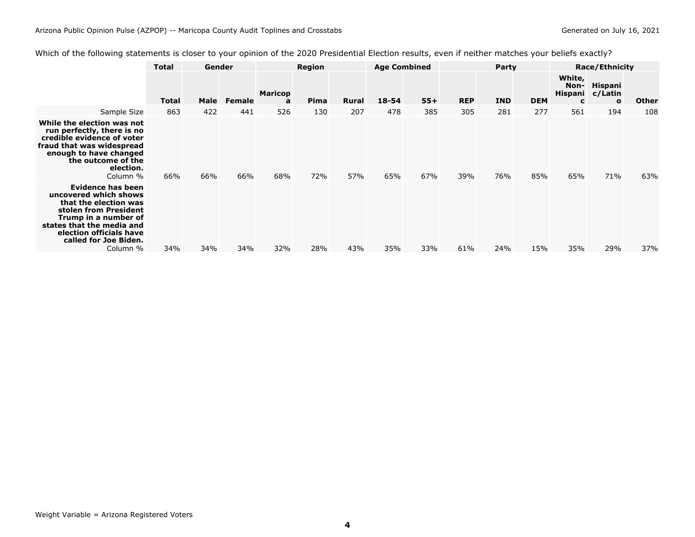<span id="page-4-0"></span>

|  | Which of the following statements is closer to your opinion of the 2020 Presidential Election results, even if neither matches your beliefs exactly? |  |
|--|------------------------------------------------------------------------------------------------------------------------------------------------------|--|
|  |                                                                                                                                                      |  |

|                                                                                                                                                                                                                   | <b>Total</b> | Gender |               | Region              |      |              | <b>Age Combined</b> |       | Party      |            |            | <b>Race/Ethnicity</b> |                                                   |              |  |
|-------------------------------------------------------------------------------------------------------------------------------------------------------------------------------------------------------------------|--------------|--------|---------------|---------------------|------|--------------|---------------------|-------|------------|------------|------------|-----------------------|---------------------------------------------------|--------------|--|
|                                                                                                                                                                                                                   | <b>Total</b> | Male   | <b>Female</b> | <b>Maricop</b><br>a | Pima | <b>Rural</b> | 18-54               | $55+$ | <b>REP</b> | <b>IND</b> | <b>DEM</b> | White,<br>Non-<br>c   | <b>Hispani</b><br>Hispani c/Latin<br>$\mathbf{o}$ | <b>Other</b> |  |
| Sample Size                                                                                                                                                                                                       | 863          | 422    | 441           | 526                 | 130  | 207          | 478                 | 385   | 305        | 281        | 277        | 561                   | 194                                               | 108          |  |
| While the election was not<br>run perfectly, there is no<br>credible evidence of voter<br>fraud that was widespread<br>enough to have changed<br>the outcome of the<br>election.<br>Column %                      | 66%          | 66%    | 66%           | 68%                 | 72%  | 57%          | 65%                 | 67%   | 39%        | 76%        | 85%        | 65%                   | 71%                                               | 63%          |  |
| Evidence has been<br>uncovered which shows<br>that the election was<br>stolen from President<br>Trump in a number of<br>states that the media and<br>election officials have<br>called for Joe Biden.<br>Column % | 34%          | 34%    | 34%           | 32%                 | 28%  | 43%          | 35%                 | 33%   | 61%        | 24%        | 15%        | 35%                   | 29%                                               | 37%          |  |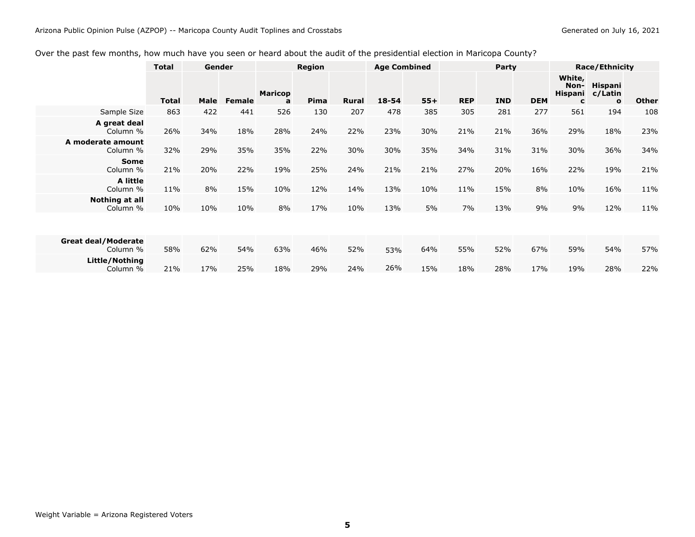### <span id="page-5-0"></span>Over the past few months, how much have you seen or heard about the audit of the presidential election in Maricopa County?

|                                        | <b>Total</b> | Gender |               | Region              |      |              | <b>Age Combined</b> |       | Party      |            |            | <b>Race/Ethnicity</b>                 |                                    |              |  |
|----------------------------------------|--------------|--------|---------------|---------------------|------|--------------|---------------------|-------|------------|------------|------------|---------------------------------------|------------------------------------|--------------|--|
|                                        | <b>Total</b> | Male   | <b>Female</b> | <b>Maricop</b><br>a | Pima | <b>Rural</b> | $18 - 54$           | $55+$ | <b>REP</b> | <b>IND</b> | <b>DEM</b> | White,<br>Non-<br><b>Hispani</b><br>C | Hispani<br>c/Latin<br>$\mathbf{o}$ | <b>Other</b> |  |
| Sample Size                            | 863          | 422    | 441           | 526                 | 130  | 207          | 478                 | 385   | 305        | 281        | 277        | 561                                   | 194                                | 108          |  |
| A great deal<br>Column %               | 26%          | 34%    | 18%           | 28%                 | 24%  | 22%          | 23%                 | 30%   | 21%        | 21%        | 36%        | 29%                                   | 18%                                | 23%          |  |
| A moderate amount<br>Column %          | 32%          | 29%    | 35%           | 35%                 | 22%  | 30%          | 30%                 | 35%   | 34%        | 31%        | 31%        | 30%                                   | 36%                                | 34%          |  |
| <b>Some</b><br>Column %                | 21%          | 20%    | 22%           | 19%                 | 25%  | 24%          | 21%                 | 21%   | 27%        | 20%        | 16%        | 22%                                   | 19%                                | 21%          |  |
| A little<br>Column %                   | 11%          | 8%     | 15%           | 10%                 | 12%  | 14%          | 13%                 | 10%   | 11%        | 15%        | 8%         | 10%                                   | 16%                                | 11%          |  |
| Nothing at all<br>Column %             | 10%          | 10%    | 10%           | 8%                  | 17%  | 10%          | 13%                 | 5%    | 7%         | 13%        | 9%         | 9%                                    | 12%                                | 11%          |  |
|                                        |              |        |               |                     |      |              |                     |       |            |            |            |                                       |                                    |              |  |
| <b>Great deal/Moderate</b><br>Column % | 58%          | 62%    | 54%           | 63%                 | 46%  | 52%          | 53%                 | 64%   | 55%        | 52%        | 67%        | 59%                                   | 54%                                | 57%          |  |
| Little/Nothing<br>Column %             | 21%          | 17%    | 25%           | 18%                 | 29%  | 24%          | 26%                 | 15%   | 18%        | 28%        | 17%        | 19%                                   | 28%                                | 22%          |  |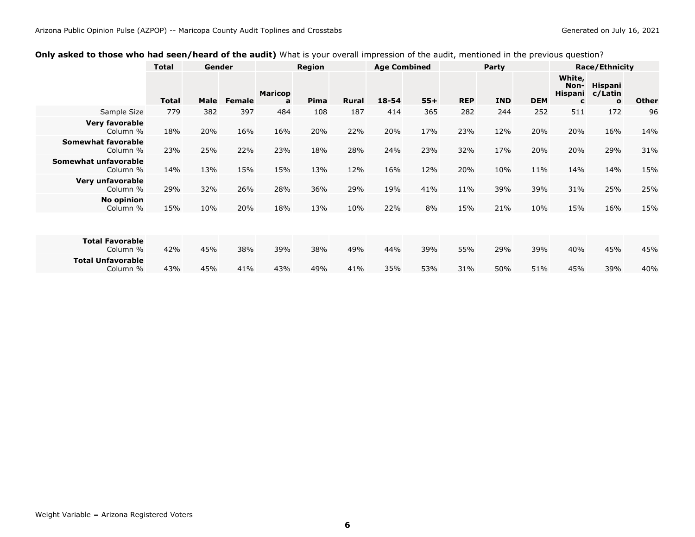#### **Race/Ethnicity Total Gender Region Age Combined Party Race/Ethnicity Total Male Female**<br>779 382 397 **Maricop** $\overline{a}$ **<sup>a</sup> Pima Rural 18-54 55+ REP IND DEM White, Non-HispaniHispani c/Latin c**511  $\mathbf{o}$ **o Other**<br>172 96 Sample Size <sup>779</sup> <sup>382</sup> <sup>397</sup> <sup>484</sup> <sup>108</sup> <sup>187</sup> <sup>414</sup> <sup>365</sup> <sup>282</sup> <sup>244</sup> <sup>252</sup> <sup>511</sup> <sup>172</sup> <sup>96</sup> **Very favorable** Column % 18% 20% 16% 16% 20% 22% 20% 17% 23% 12% 20% 20% 16% 14% **Somewhat favorable** Column % 23% 25% 22% 23% 18% 28% 24% 23% 32% 17% 20% 20% 29% 31% **Somewhat unfavorable** Column %% 14% 13% 15% 15% 13% 12% 16% 12% 20% 10% 11% 14% 14% 15%<br>' **Very unfavorable** Column % 29% 32% 26% 28% 36% 29% 19% 41% 11% 39% 39% 31% 25% 25% **No opinion** Column % 15% 10% 20% 18% 13% 10% 22% 8% 15% 21% 10% 15% 16% 15% **Total Favorable** Column %% 42% 45% 38% 39% 38% 49% 44% 39% 55% 29% 39% 40% 45% 45%<br>• 44%

43% 45% 41% 43% 49% 41% 53% 31% 50% 51% 45% 39% 40%

35%

#### <span id="page-6-0"></span>**Only asked to those who had seen/heard of the audit)** What is your overall impression of the audit, mentioned in the previous question?

**Total Unfavorable**

Column %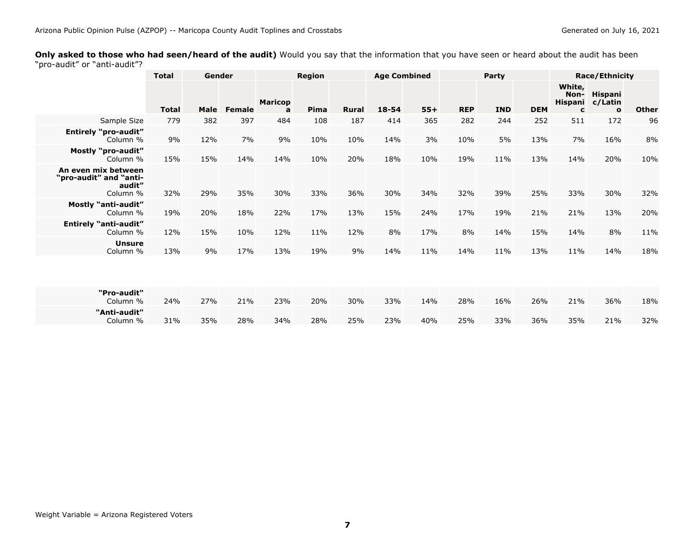<span id="page-7-0"></span>**Only asked to those who had seen/heard of the audit)** Would you say that the information that you have seen or heard about the audit has been "pro-audit" or "anti-audit"?

|                                                                     | <b>Total</b> | Gender      |               |                     | <b>Region</b> |       | <b>Age Combined</b> |       | <b>Party</b> |            |            | <b>Race/Ethnicity</b>          |                                           |              |
|---------------------------------------------------------------------|--------------|-------------|---------------|---------------------|---------------|-------|---------------------|-------|--------------|------------|------------|--------------------------------|-------------------------------------------|--------------|
|                                                                     | <b>Total</b> | <b>Male</b> | <b>Female</b> | <b>Maricop</b><br>a | Pima          | Rural | $18 - 54$           | $55+$ | <b>REP</b>   | <b>IND</b> | <b>DEM</b> | White,<br>Non-<br>Hispani<br>C | <b>Hispani</b><br>c/Latin<br>$\mathbf{o}$ | <b>Other</b> |
| Sample Size                                                         | 779          | 382         | 397           | 484                 | 108           | 187   | 414                 | 365   | 282          | 244        | 252        | 511                            | 172                                       | 96           |
| <b>Entirely "pro-audit"</b><br>Column %                             | 9%           | 12%         | 7%            | 9%                  | 10%           | 10%   | 14%                 | 3%    | 10%          | 5%         | 13%        | 7%                             | 16%                                       | 8%           |
| <b>Mostly "pro-audit"</b><br>Column %                               | 15%          | 15%         | 14%           | 14%                 | 10%           | 20%   | 18%                 | 10%   | 19%          | 11%        | 13%        | 14%                            | 20%                                       | 10%          |
| An even mix between<br>"pro-audit" and "anti-<br>audit"<br>Column % | 32%          | 29%         | 35%           | 30%                 | 33%           | 36%   | 30%                 | 34%   | 32%          | 39%        | 25%        | 33%                            | 30%                                       | 32%          |
| <b>Mostly "anti-audit"</b><br>Column %                              | 19%          | 20%         | 18%           | 22%                 | 17%           | 13%   | 15%                 | 24%   | 17%          | 19%        | 21%        | 21%                            | 13%                                       | 20%          |
| <b>Entirely "anti-audit"</b><br>Column %                            | 12%          | 15%         | 10%           | 12%                 | 11%           | 12%   | 8%                  | 17%   | 8%           | 14%        | 15%        | 14%                            | 8%                                        | 11%          |
| <b>Unsure</b><br>Column %                                           | 13%          | 9%          | 17%           | 13%                 | 19%           | 9%    | 14%                 | 11%   | 14%          | 11%        | 13%        | 11%                            | 14%                                       | 18%          |
|                                                                     |              |             |               |                     |               |       |                     |       |              |            |            |                                |                                           |              |
| "Pro-audit"<br>Column %                                             | 24%          | 27%         | 21%           | 23%                 | 20%           | 30%   | 33%                 | 14%   | 28%          | 16%        | 26%        | 21%                            | 36%                                       | 18%          |
| "Anti-audit"<br>Column %                                            | 31%          | 35%         | 28%           | 34%                 | 28%           | 25%   | 23%                 | 40%   | 25%          | 33%        | 36%        | 35%                            | 21%                                       | 32%          |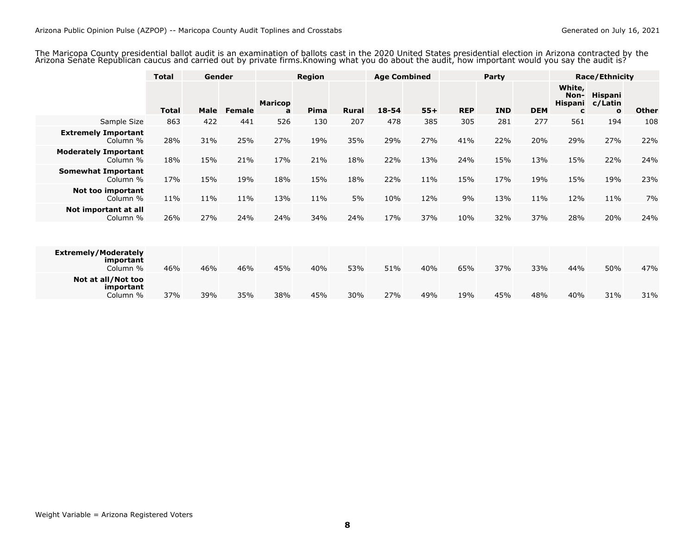<span id="page-8-0"></span>The Maricopa County presidential ballot audit is an examination of ballots cast in the 2020 United States presidential election in Arizona contracted by the<br>Arizona Senate Republican caucus and carried out by private firms

|                                                      | <b>Total</b> | Gender |               | <b>Region</b>       |      | <b>Age Combined</b> |           |       | Party      |            | <b>Race/Ethnicity</b> |                                       |                                           |              |
|------------------------------------------------------|--------------|--------|---------------|---------------------|------|---------------------|-----------|-------|------------|------------|-----------------------|---------------------------------------|-------------------------------------------|--------------|
|                                                      | <b>Total</b> | Male   | <b>Female</b> | <b>Maricop</b><br>a | Pima | <b>Rural</b>        | $18 - 54$ | $55+$ | <b>REP</b> | <b>IND</b> | <b>DEM</b>            | White,<br>Non-<br><b>Hispani</b><br>C | <b>Hispani</b><br>c/Latin<br>$\mathbf{o}$ | <b>Other</b> |
| Sample Size                                          | 863          | 422    | 441           | 526                 | 130  | 207                 | 478       | 385   | 305        | 281        | 277                   | 561                                   | 194                                       | 108          |
| <b>Extremely Important</b><br>Column %               | 28%          | 31%    | 25%           | 27%                 | 19%  | 35%                 | 29%       | 27%   | 41%        | 22%        | 20%                   | 29%                                   | 27%                                       | 22%          |
| <b>Moderately Important</b><br>Column %              | 18%          | 15%    | 21%           | 17%                 | 21%  | 18%                 | 22%       | 13%   | 24%        | 15%        | 13%                   | 15%                                   | 22%                                       | 24%          |
| <b>Somewhat Important</b><br>Column %                | 17%          | 15%    | 19%           | 18%                 | 15%  | 18%                 | 22%       | 11%   | 15%        | 17%        | 19%                   | 15%                                   | 19%                                       | 23%          |
| Not too important<br>Column %                        | 11%          | 11%    | 11%           | 13%                 | 11%  | 5%                  | 10%       | 12%   | 9%         | 13%        | 11%                   | 12%                                   | 11%                                       | 7%           |
| Not important at all<br>Column %                     | 26%          | 27%    | 24%           | 24%                 | 34%  | 24%                 | 17%       | 37%   | 10%        | 32%        | 37%                   | 28%                                   | 20%                                       | 24%          |
|                                                      |              |        |               |                     |      |                     |           |       |            |            |                       |                                       |                                           |              |
| <b>Extremely/Moderately</b><br>important<br>Column % | 46%          | 46%    | 46%           | 45%                 | 40%  | 53%                 | 51%       | 40%   | 65%        | 37%        | 33%                   | 44%                                   | 50%                                       | 47%          |
| Not at all/Not too<br>important<br>Column %          | 37%          | 39%    | 35%           | 38%                 | 45%  | 30%                 | 27%       | 49%   | 19%        | 45%        | 48%                   | 40%                                   | 31%                                       | 31%          |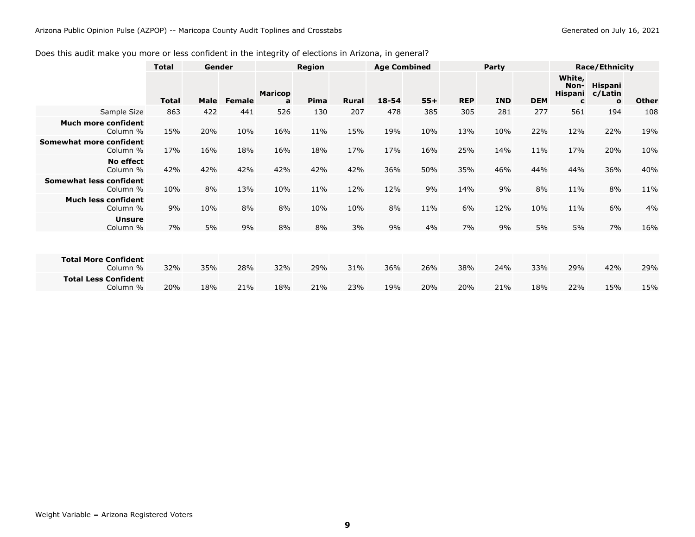### <span id="page-9-0"></span>Does this audit make you more or less confident in the integrity of elections in Arizona, in general?

|                                         | <b>Total</b> | Gender |               | Region              |             | <b>Age Combined</b> |           | Party |            |            | <b>Race/Ethnicity</b> |                                       |                                           |              |
|-----------------------------------------|--------------|--------|---------------|---------------------|-------------|---------------------|-----------|-------|------------|------------|-----------------------|---------------------------------------|-------------------------------------------|--------------|
|                                         | <b>Total</b> | Male   | <b>Female</b> | <b>Maricop</b><br>a | <b>Pima</b> | <b>Rural</b>        | $18 - 54$ | $55+$ | <b>REP</b> | <b>IND</b> | <b>DEM</b>            | White,<br>Non-<br><b>Hispani</b><br>C | <b>Hispani</b><br>c/Latin<br>$\mathbf{o}$ | <b>Other</b> |
| Sample Size                             | 863          | 422    | 441           | 526                 | 130         | 207                 | 478       | 385   | 305        | 281        | 277                   | 561                                   | 194                                       | 108          |
| <b>Much more confident</b><br>Column %  | 15%          | 20%    | 10%           | 16%                 | 11%         | 15%                 | 19%       | 10%   | 13%        | 10%        | 22%                   | 12%                                   | 22%                                       | 19%          |
| Somewhat more confident<br>Column %     | 17%          | 16%    | 18%           | 16%                 | 18%         | 17%                 | 17%       | 16%   | 25%        | 14%        | 11%                   | 17%                                   | 20%                                       | 10%          |
| No effect<br>Column %                   | 42%          | 42%    | 42%           | 42%                 | 42%         | 42%                 | 36%       | 50%   | 35%        | 46%        | 44%                   | 44%                                   | 36%                                       | 40%          |
| Somewhat less confident<br>Column %     | 10%          | 8%     | 13%           | 10%                 | 11%         | 12%                 | 12%       | 9%    | 14%        | 9%         | 8%                    | 11%                                   | 8%                                        | 11%          |
| <b>Much less confident</b><br>Column %  | 9%           | 10%    | 8%            | 8%                  | 10%         | 10%                 | 8%        | 11%   | 6%         | 12%        | 10%                   | 11%                                   | 6%                                        | 4%           |
| <b>Unsure</b><br>Column %               | 7%           | 5%     | 9%            | 8%                  | 8%          | 3%                  | 9%        | 4%    | 7%         | 9%         | 5%                    | 5%                                    | 7%                                        | 16%          |
|                                         |              |        |               |                     |             |                     |           |       |            |            |                       |                                       |                                           |              |
| <b>Total More Confident</b><br>Column % | 32%          | 35%    | 28%           | 32%                 | 29%         | 31%                 | 36%       | 26%   | 38%        | 24%        | 33%                   | 29%                                   | 42%                                       | 29%          |
| <b>Total Less Confident</b><br>Column % | 20%          | 18%    | 21%           | 18%                 | 21%         | 23%                 | 19%       | 20%   | 20%        | 21%        | 18%                   | 22%                                   | 15%                                       | 15%          |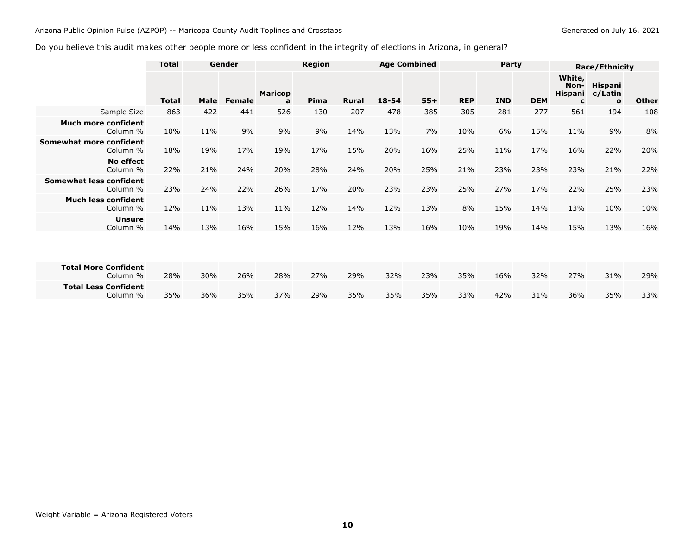#### <span id="page-10-0"></span>Arizona Public Opinion Pulse (AZPOP) -- Maricopa County Audit Toplines and Crosstabs

### Do you believe this audit makes other people more or less confident in the integrity of elections in Arizona, in general?

|                                            | <b>Total</b> |      | Gender | Region              |      | <b>Age Combined</b> |           | Party |            |            | <b>Race/Ethnicity</b> |                                       |                                           |              |
|--------------------------------------------|--------------|------|--------|---------------------|------|---------------------|-----------|-------|------------|------------|-----------------------|---------------------------------------|-------------------------------------------|--------------|
|                                            | <b>Total</b> | Male | Female | <b>Maricop</b><br>a | Pima | <b>Rural</b>        | $18 - 54$ | $55+$ | <b>REP</b> | <b>IND</b> | <b>DEM</b>            | White,<br>Non-<br><b>Hispani</b><br>c | <b>Hispani</b><br>c/Latin<br>$\mathbf{o}$ | <b>Other</b> |
| Sample Size                                | 863          | 422  | 441    | 526                 | 130  | 207                 | 478       | 385   | 305        | 281        | 277                   | 561                                   | 194                                       | 108          |
| <b>Much more confident</b><br>Column %     | 10%          | 11%  | 9%     | 9%                  | 9%   | 14%                 | 13%       | 7%    | 10%        | 6%         | 15%                   | 11%                                   | 9%                                        | 8%           |
| Somewhat more confident<br>Column %        | 18%          | 19%  | 17%    | 19%                 | 17%  | 15%                 | 20%       | 16%   | 25%        | 11%        | 17%                   | 16%                                   | 22%                                       | 20%          |
| No effect<br>Column %                      | 22%          | 21%  | 24%    | 20%                 | 28%  | 24%                 | 20%       | 25%   | 21%        | 23%        | 23%                   | 23%                                   | 21%                                       | 22%          |
| <b>Somewhat less confident</b><br>Column % | 23%          | 24%  | 22%    | 26%                 | 17%  | 20%                 | 23%       | 23%   | 25%        | 27%        | 17%                   | 22%                                   | 25%                                       | 23%          |
| <b>Much less confident</b><br>Column %     | 12%          | 11%  | 13%    | 11%                 | 12%  | 14%                 | 12%       | 13%   | 8%         | 15%        | 14%                   | 13%                                   | 10%                                       | 10%          |
| <b>Unsure</b><br>Column %                  | 14%          | 13%  | 16%    | 15%                 | 16%  | 12%                 | 13%       | 16%   | 10%        | 19%        | 14%                   | 15%                                   | 13%                                       | 16%          |
|                                            |              |      |        |                     |      |                     |           |       |            |            |                       |                                       |                                           |              |
| <b>Total More Confident</b><br>Column %    | 28%          | 30%  | 26%    | 28%                 | 27%  | 29%                 | 32%       | 23%   | 35%        | 16%        | 32%                   | 27%                                   | 31%                                       | 29%          |
| <b>Total Less Confident</b><br>Column %    | 35%          | 36%  | 35%    | 37%                 | 29%  | 35%                 | 35%       | 35%   | 33%        | 42%        | 31%                   | 36%                                   | 35%                                       | 33%          |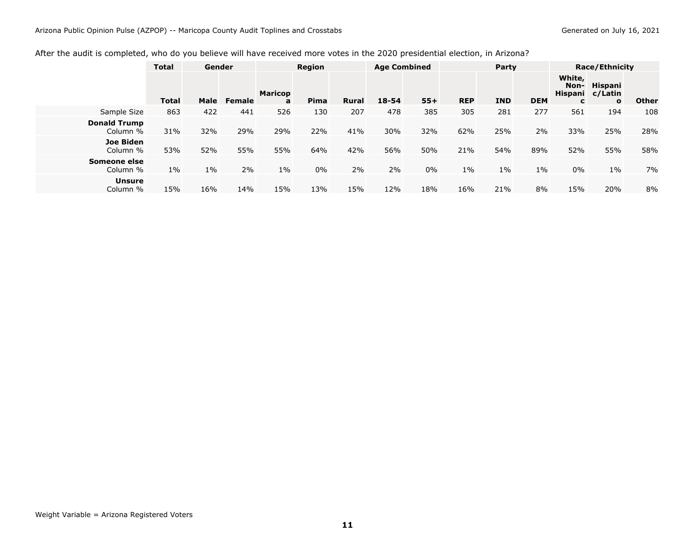### <span id="page-11-0"></span>After the audit is completed, who do you believe will have received more votes in the 2020 presidential election, in Arizona?

|                                 | <b>Total</b> | Gender |               | <b>Region</b>       |      |              | <b>Age Combined</b> |       | Party      |            |            | <b>Race/Ethnicity</b>          |                                                   |              |  |
|---------------------------------|--------------|--------|---------------|---------------------|------|--------------|---------------------|-------|------------|------------|------------|--------------------------------|---------------------------------------------------|--------------|--|
|                                 | <b>Total</b> | Male   | <b>Female</b> | <b>Maricop</b><br>a | Pima | <b>Rural</b> | $18 - 54$           | $55+$ | <b>REP</b> | <b>IND</b> | <b>DEM</b> | White,<br>Non-<br>$\mathbf{C}$ | <b>Hispani</b><br>Hispani c/Latin<br>$\mathbf{o}$ | <b>Other</b> |  |
| Sample Size                     | 863          | 422    | 441           | 526                 | 130  | 207          | 478                 | 385   | 305        | 281        | 277        | 561                            | 194                                               | 108          |  |
| <b>Donald Trump</b><br>Column % | 31%          | 32%    | 29%           | 29%                 | 22%  | 41%          | 30%                 | 32%   | 62%        | 25%        | 2%         | 33%                            | 25%                                               | 28%          |  |
| <b>Joe Biden</b><br>Column %    | 53%          | 52%    | 55%           | 55%                 | 64%  | 42%          | 56%                 | 50%   | 21%        | 54%        | 89%        | 52%                            | 55%                                               | 58%          |  |
| Someone else<br>Column %        | $1\%$        | $1\%$  | 2%            | $1\%$               | 0%   | 2%           | 2%                  | 0%    | $1\%$      | $1\%$      | $1\%$      | 0%                             | $1\%$                                             | 7%           |  |
| <b>Unsure</b><br>Column %       | 15%          | 16%    | 14%           | 15%                 | 13%  | 15%          | 12%                 | 18%   | 16%        | 21%        | 8%         | 15%                            | 20%                                               | 8%           |  |